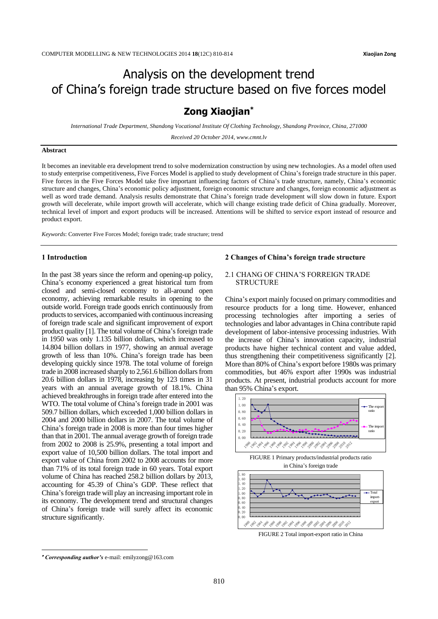# Analysis on the development trend of China's foreign trade structure based on five forces model

# **Zong Xiaojian\***

*International Trade Department, Shandong Vocational Institute Of Clothing Technology, Shandong Province, China, 271000*

*Received 20 October 2014, www.cmnt.lv*

### **Abstract**

It becomes an inevitable era development trend to solve modernization construction by using new technologies. As a model often used to study enterprise competitiveness, Five Forces Model is applied to study development of China's foreign trade structure in this paper. Five forces in the Five Forces Model take five important influencing factors of China's trade structure, namely, China's economic structure and changes, China's economic policy adjustment, foreign economic structure and changes, foreign economic adjustment as well as word trade demand. Analysis results demonstrate that China's foreign trade development will slow down in future. Export growth will decelerate, while import growth will accelerate, which will change existing trade deficit of China gradually. Moreover, technical level of import and export products will be increased. Attentions will be shifted to service export instead of resource and product export.

*Keywords*: Converter Five Forces Model; foreign trade; trade structure; trend

## **1 Introduction**

In the past 38 years since the reform and opening-up policy, China's economy experienced a great historical turn from closed and semi-closed economy to all-around open economy, achieving remarkable results in opening to the outside world. Foreign trade goods enrich continuously from products to services, accompanied with continuous increasing of foreign trade scale and significant improvement of export product quality [1]. The total volume of China's foreign trade in 1950 was only 1.135 billion dollars, which increased to 14.804 billion dollars in 1977, showing an annual average growth of less than 10%. China's foreign trade has been developing quickly since 1978. The total volume of foreign trade in 2008 increased sharply to 2,561.6 billion dollars from 20.6 billion dollars in 1978, increasing by 123 times in 31 years with an annual average growth of 18.1%. China achieved breakthroughs in foreign trade after entered into the WTO. The total volume of China's foreign trade in 2001 was 509.7 billion dollars, which exceeded 1,000 billion dollars in 2004 and 2000 billion dollars in 2007. The total volume of China's foreign trade in 2008 is more than four times higher than that in 2001. The annual average growth of foreign trade from 2002 to 2008 is 25.9%, presenting a total import and export value of 10,500 billion dollars. The total import and export value of China from 2002 to 2008 accounts for more than 71% of its total foreign trade in 60 years. Total export volume of China has reached 258.2 billion dollars by 2013, accounting for 45.39 of China's GDP. These reflect that China's foreign trade will play an increasing important role in its economy. The development trend and structural changes of China's foreign trade will surely affect its economic structure significantly.

#### **2 Changes of China's foreign trade structure**

## 2.1 CHANG OF CHINA'S FORREIGN TRADE **STRUCTURE**

China's export mainly focused on primary commodities and resource products for a long time. However, enhanced processing technologies after importing a series of technologies and labor advantages in China contribute rapid development of labor-intensive processing industries. With the increase of China's innovation capacity, industrial products have higher technical content and value added, thus strengthening their competitiveness significantly [2]. More than 80% of China's export before 1980s was primary commodities, but 46% export after 1990s was industrial products. At present, industrial products account for more than 95% China's export.







FIGURE 2 Total import-export ratio in China

 $\overline{a}$ 

*Corresponding author's* e-mail: emilyzong@163.com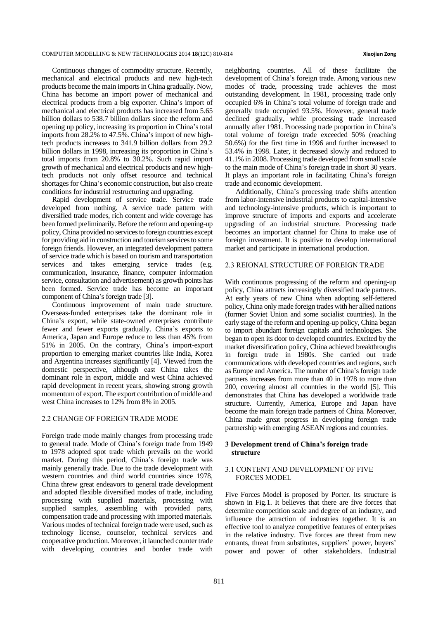Continuous changes of commodity structure. Recently, mechanical and electrical products and new high-tech products become the main imports in China gradually. Now, China has become an import power of mechanical and electrical products from a big exporter. China's import of mechanical and electrical products has increased from 5.65 billion dollars to 538.7 billion dollars since the reform and opening up policy, increasing its proportion in China's total imports from 28.2% to 47.5%. China's import of new hightech products increases to 341.9 billion dollars from 29.2 billion dollars in 1998, increasing its proportion in China's total imports from 20.8% to 30.2%. Such rapid import growth of mechanical and electrical products and new hightech products not only offset resource and technical shortages for China's economic construction, but also create conditions for industrial restructuring and upgrading.

Rapid development of service trade. Service trade developed from nothing. A service trade pattern with diversified trade modes, rich content and wide coverage has been formed preliminarily. Before the reform and opening-up policy, China provided no services to foreign countries except for providing aid in construction and tourism services to some foreign friends. However, an integrated development pattern of service trade which is based on tourism and transportation services and takes emerging service trades (e.g. communication, insurance, finance, computer information service, consultation and advertisement) as growth points has been formed. Service trade has become an important component of China's foreign trade [3].

Continuous improvement of main trade structure. Overseas-funded enterprises take the dominant role in China's export, while state-owned enterprises contribute fewer and fewer exports gradually. China's exports to America, Japan and Europe reduce to less than 45% from 51% in 2005. On the contrary, China's import-export proportion to emerging market countries like India, Korea and Argentina increases significantly [4]. Viewed from the domestic perspective, although east China takes the dominant role in export, middle and west China achieved rapid development in recent years, showing strong growth momentum of export. The export contribution of middle and west China increases to 12% from 8% in 2005.

#### 2.2 CHANGE OF FOREIGN TRADE MODE

Foreign trade mode mainly changes from processing trade to general trade. Mode of China's foreign trade from 1949 to 1978 adopted spot trade which prevails on the world market. During this period, China's foreign trade was mainly generally trade. Due to the trade development with western countries and third world countries since 1978, China threw great endeavors to general trade development and adopted flexible diversified modes of trade, including processing with supplied materials, processing with supplied samples, assembling with provided parts, compensation trade and processing with imported materials. Various modes of technical foreign trade were used, such as technology license, counselor, technical services and cooperative production. Moreover, it launched counter trade with developing countries and border trade with

neighboring countries. All of these facilitate the development of China's foreign trade. Among various new modes of trade, processing trade achieves the most outstanding development. In 1981, processing trade only occupied 6% in China's total volume of foreign trade and generally trade occupied 93.5%. However, general trade declined gradually, while processing trade increased annually after 1981. Processing trade proportion in China's total volume of foreign trade exceeded 50% (reaching 50.6%) for the first time in 1996 and further increased to 53.4% in 1998. Later, it decreased slowly and reduced to 41.1% in 2008. Processing trade developed from smallscale to the main mode of China's foreign trade in short 30 years. It plays an important role in facilitating China's foreign trade and economic development.

Additionally, China's processing trade shifts attention from labor-intensive industrial products to capital-intensive and technology-intensive products, which is important to improve structure of imports and exports and accelerate upgrading of an industrial structure. Processing trade becomes an important channel for China to make use of foreign investment. It is positive to develop international market and participate in international production.

# 2.3 REIONAL STRUCTURE OF FOREIGN TRADE

With continuous progressing of the reform and opening-up policy, China attracts increasingly diversified trade partners. At early years of new China when adopting self-fettered policy, China only made foreign trades with her allied nations (former Soviet Union and some socialist countries). In the early stage of the reform and opening-up policy, China began to import abundant foreign capitals and technologies. She began to open its door to developed countries. Excited by the market diversification policy, China achieved breakthroughs in foreign trade in 1980s. She carried out trade communications with developed countries and regions, such as Europe and America. The number of China's foreign trade partners increases from more than 40 in 1978 to more than 200, covering almost all countries in the world [5]. This demonstrates that China has developed a worldwide trade structure. Currently, America, Europe and Japan have become the main foreign trade partners of China. Moreover, China made great progress in developing foreign trade partnership with emerging ASEAN regions and countries.

### **3 Development trend of China's foreign trade structure**

# 3.1 CONTENT AND DEVELOPMENT OF FIVE FORCES MODEL

Five Forces Model is proposed by Porter. Its structure is shown in Fig.1. It believes that there are five forces that determine competition scale and degree of an industry, and influence the attraction of industries together. It is an effective tool to analyze competitive features of enterprises in the relative industry. Five forces are threat from new entrants, threat from substitutes, suppliers' power, buyers' power and power of other stakeholders. Industrial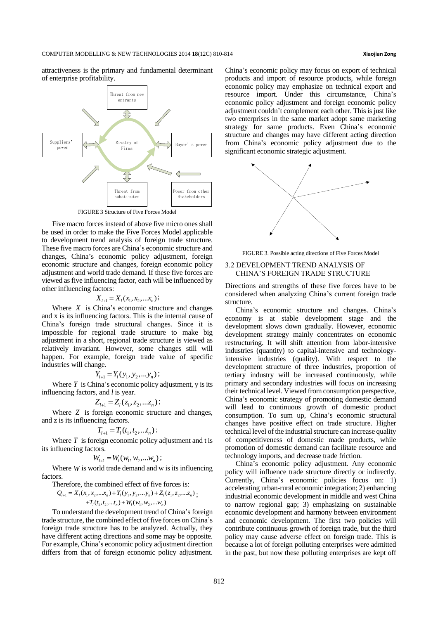attractiveness is the primary and fundamental determinant of enterprise profitability.



FIGURE 3 Structure of Five Forces Model

Five macro forces instead of above five micro ones shall be used in order to make the Five Forces Model applicable to development trend analysis of foreign trade structure. These five macro forces are China's economic structure and changes, China's economic policy adjustment, foreign economic structure and changes, foreign economic policy adjustment and world trade demand. If these five forces are viewed asfive influencing factor, each will be influenced by other influencing factors:

$$
X_{l+1} = X_{l}(x_1, x_2, \ldots, x_n);
$$

Where  $X$  is China's economic structure and changes and x is its influencing factors. This is the internal cause of China's foreign trade structural changes. Since it is impossible for regional trade structure to make big adjustment in a short, regional trade structure is viewed as relatively invariant. However, some changes still will happen. For example, foreign trade value of specific industries will change.

$$
Y_{l+1} = Y_l(y_1, y_2, \ldots y_n);
$$

Where  $Y$  is China's economic policy adjustment,  $y$  is its influencing factors, and *l* is year.

$$
Z_{l+1} = Z_l(z_1, z_2, \ldots z_n);
$$

Where *Z* is foreign economic structure and changes, and z is its influencing factors.

$$
T_{l+1} = T_l(t_1, t_2, \ldots, t_n);
$$

Where  $T$  is foreign economic policy adjustment and t is its influencing factors.

$$
W_{l+1} = W_l(w_1, w_2, ... w_n);
$$

Where  $W$  is world trade demand and  $w$  is its influencing factors.

ors.  
\nTherefore, the combined effect of five forces is:  
\n
$$
Q_{l+1} = X_1(x_1, x_2,...x_n) + Y_l(y_1, y_2,...y_n) + Z_l(z_1, z_2,...z_n)
$$
  
\n $+T_l(t_1, t_2,...t_n) + W_l(w_1, w_2,...w_n)$ 

To understand the development trend of China's foreign trade structure, the combined effect of five forces on China's foreign trade structure has to be analyzed. Actually, they have different acting directions and some may be opposite. For example, China's economic policy adjustment direction differs from that of foreign economic policy adjustment. China's economic policy may focus on export of technical products and import of resource products, while foreign economic policy may emphasize on technical export and resource import. Under this circumstance, China's economic policy adjustment and foreign economic policy adjustment couldn't complement each other. This is just like two enterprises in the same market adopt same marketing strategy for same products. Even China's economic structure and changes may have different acting direction from China's economic policy adjustment due to the significant economic strategic adjustment.



FIGURE 3. Possible acting directions of Five Forces Model

### 3.2 DEVELOPMENT TREND ANALYSIS OF CHINA'S FOREIGN TRADE STRUCTURE

Directions and strengths of these five forces have to be considered when analyzing China's current foreign trade structure.

China's economic structure and changes. China's economy is at stable development stage and the development slows down gradually. However, economic development strategy mainly concentrates on economic restructuring. It will shift attention from labor-intensive industries (quantity) to capital-intensive and technologyintensive industries (quality). With respect to the development structure of three industries, proportion of tertiary industry will be increased continuously, while primary and secondary industries will focus on increasing their technical level. Viewed from consumption perspective, China's economic strategy of promoting domestic demand will lead to continuous growth of domestic product consumption. To sum up, China's economic structural changes have positive effect on trade structure. Higher technical level of the industrial structure can increase quality of competitiveness of domestic made products, while promotion of domestic demand can facilitate resource and technology imports, and decrease trade friction.

China's economic policy adjustment. Any economic policy will influence trade structure directly or indirectly. Currently, China's economic policies focus on: 1) accelerating urban-rural economic integration; 2) enhancing industrial economic development in middle and west China to narrow regional gap; 3) emphasizing on sustainable economic development and harmony between environment and economic development. The first two policies will contribute continuous growth of foreign trade, but the third policy may cause adverse effect on foreign trade. This is because a lot of foreign polluting enterprises were admitted in the past, but now these polluting enterprises are kept off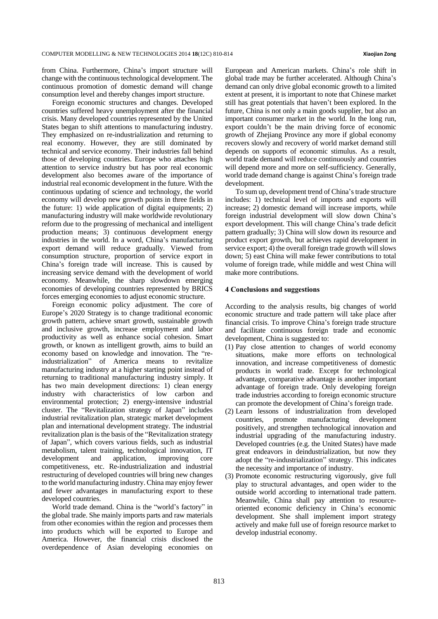from China. Furthermore, China's import structure will change with the continuous technological development. The continuous promotion of domestic demand will change consumption level and thereby changes import structure.

Foreign economic structures and changes. Developed countries suffered heavy unemployment after the financial crisis. Many developed countries represented by the United States began to shift attentions to manufacturing industry. They emphasized on re-industrialization and returning to real economy. However, they are still dominated by technical and service economy. Their industries fall behind those of developing countries. Europe who attaches high attention to service industry but has poor real economic development also becomes aware of the importance of industrial real economic development in the future. With the continuous updating of science and technology, the world economy will develop new growth points in three fields in the future: 1) wide application of digital equipments; 2) manufacturing industry will make worldwide revolutionary reform due to the progressing of mechanical and intelligent production means; 3) continuous development energy industries in the world. In a word, China's manufacturing export demand will reduce gradually. Viewed from consumption structure, proportion of service export in China's foreign trade will increase. This is caused by increasing service demand with the development of world economy. Meanwhile, the sharp slowdown emerging economies of developing countries represented by BRICS forces emerging economies to adjust economic structure.

Foreign economic policy adjustment. The core of Europe's 2020 Strategy is to change traditional economic growth pattern, achieve smart growth, sustainable growth and inclusive growth, increase employment and labor productivity as well as enhance social cohesion. Smart growth, or known as intelligent growth, aims to build an economy based on knowledge and innovation. The "reindustrialization" of America means to revitalize manufacturing industry at a higher starting point instead of returning to traditional manufacturing industry simply. It has two main development directions: 1) clean energy industry with characteristics of low carbon and environmental protection; 2) energy-intensive industrial cluster. The "Revitalization strategy of Japan" includes industrial revitalization plan, strategic market development plan and international development strategy. The industrial revitalization plan is the basis of the "Revitalization strategy of Japan", which covers various fields, such as industrial metabolism, talent training, technological innovation, IT development and application, improving core competitiveness, etc. Re-industrialization and industrial restructuring of developed countries will bring new changes to the world manufacturing industry. China may enjoy fewer and fewer advantages in manufacturing export to these developed countries.

World trade demand. China is the "world's factory" in the global trade. She mainly imports parts and raw materials from other economies within the region and processes them into products which will be exported to Europe and America. However, the financial crisis disclosed the overdependence of Asian developing economies on European and American markets. China's role shift in global trade may be further accelerated. Although China's demand can only drive global economic growth to a limited extent at present, it is important to note that Chinese market still has great potentials that haven't been explored. In the future, China is not only a main goods supplier, but also an important consumer market in the world. In the long run, export couldn't be the main driving force of economic growth of Zhejiang Province any more if global economy recovers slowly and recovery of world market demand still depends on supports of economic stimulus. As a result, world trade demand will reduce continuously and countries will depend more and more on self-sufficiency. Generally, world trade demand change is against China's foreign trade development.

To sum up, development trend of China's trade structure includes: 1) technical level of imports and exports will increase; 2) domestic demand will increase imports, while foreign industrial development will slow down China's export development. This will change China's trade deficit pattern gradually; 3) China will slow down its resource and product export growth, but achieves rapid development in service export; 4) the overall foreign trade growth will slows down; 5) east China will make fewer contributions to total volume of foreign trade, while middle and west China will make more contributions.

#### **4 Conclusions and suggestions**

According to the analysis results, big changes of world economic structure and trade pattern will take place after financial crisis. To improve China's foreign trade structure and facilitate continuous foreign trade and economic development, China is suggested to:

- (1) Pay close attention to changes of world economy situations, make more efforts on technological innovation, and increase competitiveness of domestic products in world trade. Except for technological advantage, comparative advantage is another important advantage of foreign trade. Only developing foreign trade industries according to foreign economic structure can promote the development of China's foreign trade.
- (2) Learn lessons of industrialization from developed countries, promote manufacturing development positively, and strengthen technological innovation and industrial upgrading of the manufacturing industry. Developed countries (e.g. the United States) have made great endeavors in deindustrialization, but now they adopt the "re-industrialization" strategy. This indicates the necessity and importance of industry.
- (3) Promote economic restructuring vigorously, give full play to structural advantages, and open wider to the outside world according to international trade pattern. Meanwhile, China shall pay attention to resourceoriented economic deficiency in China's economic development. She shall implement import strategy actively and make full use of foreign resource market to develop industrial economy.